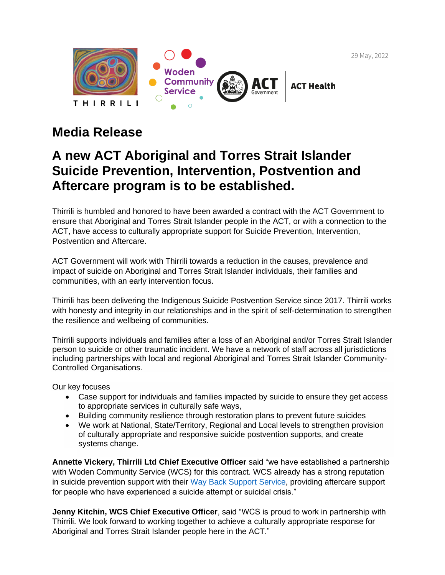29 May, 2022



## **Media Release**

## **A new ACT Aboriginal and Torres Strait Islander Suicide Prevention, Intervention, Postvention and Aftercare program is to be established.**

Thirrili is humbled and honored to have been awarded a contract with the ACT Government to ensure that Aboriginal and Torres Strait Islander people in the ACT, or with a connection to the ACT, have access to culturally appropriate support for Suicide Prevention, Intervention, Postvention and Aftercare.

ACT Government will work with Thirrili towards a reduction in the causes, prevalence and impact of suicide on Aboriginal and Torres Strait Islander individuals, their families and communities, with an early intervention focus.

Thirrili has been delivering the Indigenous Suicide Postvention Service since 2017. Thirrili works with honesty and integrity in our relationships and in the spirit of self-determination to strengthen the resilience and wellbeing of communities.

Thirrili supports individuals and families after a loss of an Aboriginal and/or Torres Strait Islander person to suicide or other traumatic incident. We have a network of staff across all jurisdictions including partnerships with local and regional Aboriginal and Torres Strait Islander Community-Controlled Organisations.

Our key focuses

- Case support for individuals and families impacted by suicide to ensure they get access to appropriate services in culturally safe ways,
- Building community resilience through restoration plans to prevent future suicides
- We work at National, State/Territory, Regional and Local levels to strengthen provision of culturally appropriate and responsive suicide postvention supports, and create systems change.

**Annette Vickery, Thirrili Ltd Chief Executive Officer** said "we have established a partnership with Woden Community Service (WCS) for this contract. WCS already has a strong reputation in suicide prevention support with their [Way Back Support Service,](https://www.wcs.org.au/services/mental-health/the-way-back-support-service/) providing aftercare support for people who have experienced a suicide attempt or suicidal crisis."

**Jenny Kitchin, WCS Chief Executive Officer**, said "WCS is proud to work in partnership with Thirrili. We look forward to working together to achieve a culturally appropriate response for Aboriginal and Torres Strait Islander people here in the ACT."